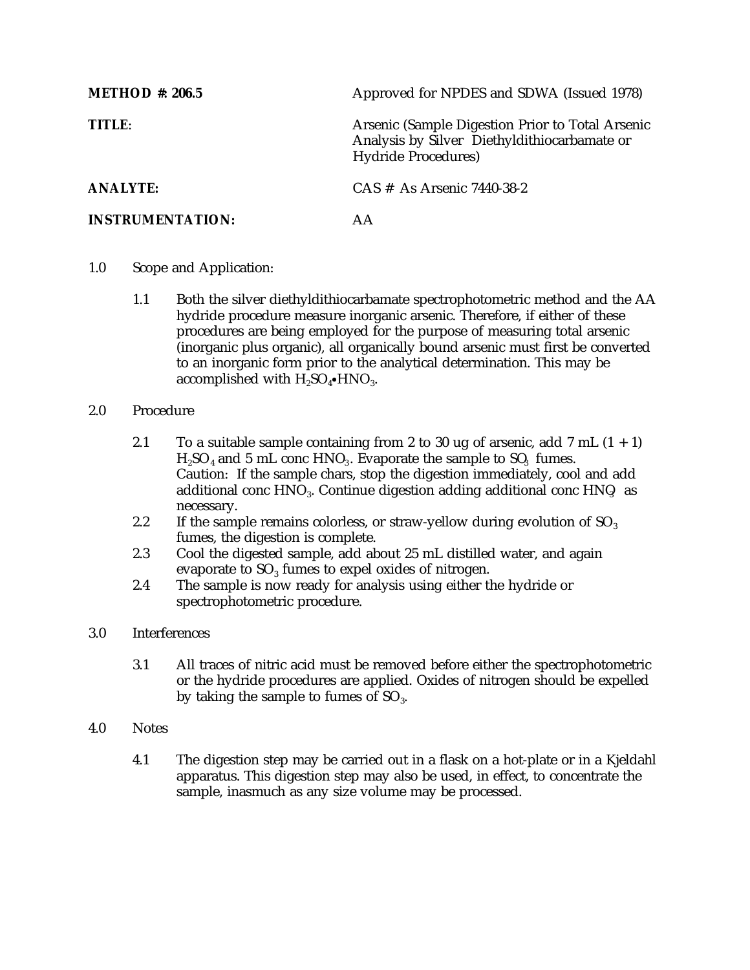| <b>METHOD</b> #: 206.5  | Approved for NPDES and SDWA (Issued 1978)                                                                                       |
|-------------------------|---------------------------------------------------------------------------------------------------------------------------------|
| <b>TITLE:</b>           | Arsenic (Sample Digestion Prior to Total Arsenic<br>Analysis by Silver Diethyldithiocarbamate or<br><b>Hydride Procedures</b> ) |
| <b>ANALYTE:</b>         | CAS # As Arsenic 7440-38-2                                                                                                      |
| <b>INSTRUMENTATION:</b> |                                                                                                                                 |

- 1.0 Scope and Application:
	- 1.1 Both the silver diethyldithiocarbamate spectrophotometric method and the AA hydride procedure measure inorganic arsenic. Therefore, if either of these procedures are being employed for the purpose of measuring total arsenic (inorganic plus organic), all organically bound arsenic must first be converted to an inorganic form prior to the analytical determination. This may be accomplished with  $H_2SO_4\bullet HNO_3$ .
- 2.0 Procedure
	- 2.1 To a suitable sample containing from 2 to 30 ug of arsenic, add 7 mL  $(1 + 1)$  $H<sub>2</sub>SO<sub>4</sub>$  and 5 mL conc HNO<sub>3</sub>. Evaporate the sample to SO<sub>3</sub> fumes. Caution: If the sample chars, stop the digestion immediately, cool and add additional conc  $HNO<sub>3</sub>$ . Continue digestion adding additional conc  $HNO<sub>3</sub>$  as necessary.
	- 2.2 If the sample remains colorless, or straw-yellow during evolution of  $SO<sub>3</sub>$ fumes, the digestion is complete.
	- 2.3 Cool the digested sample, add about 25 mL distilled water, and again evaporate to  $SO<sub>3</sub>$  fumes to expel oxides of nitrogen.
	- 2.4 The sample is now ready for analysis using either the hydride or spectrophotometric procedure.
- 3.0 Interferences
	- 3.1 All traces of nitric acid must be removed before either the spectrophotometric or the hydride procedures are applied. Oxides of nitrogen should be expelled by taking the sample to fumes of  $SO_3$ .
- 4.0 Notes
	- 4.1 The digestion step may be carried out in a flask on a hot-plate or in a Kjeldahl apparatus. This digestion step may also be used, in effect, to concentrate the sample, inasmuch as any size volume may be processed.